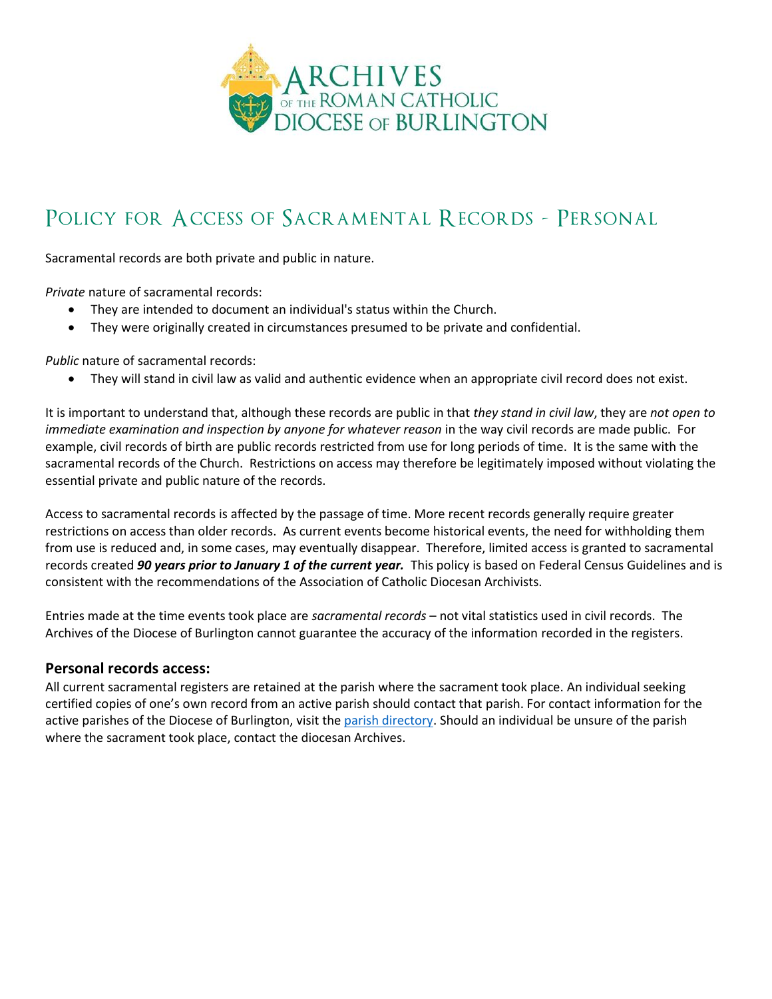

## POLICY FOR ACCESS OF SACRAMENTAL RECORDS - PERSONAL

Sacramental records are both private and public in nature.

*Private* nature of sacramental records:

- They are intended to document an individual's status within the Church.
- They were originally created in circumstances presumed to be private and confidential.

*Public* nature of sacramental records:

• They will stand in civil law as valid and authentic evidence when an appropriate civil record does not exist.

It is important to understand that, although these records are public in that *they stand in civil law*, they are *not open to immediate examination and inspection by anyone for whatever reason* in the way civil records are made public. For example, civil records of birth are public records restricted from use for long periods of time. It is the same with the sacramental records of the Church. Restrictions on access may therefore be legitimately imposed without violating the essential private and public nature of the records.

Access to sacramental records is affected by the passage of time. More recent records generally require greater restrictions on access than older records. As current events become historical events, the need for withholding them from use is reduced and, in some cases, may eventually disappear. Therefore, limited access is granted to sacramental records created *90 years prior to January 1 of the current year.* This policy is based on Federal Census Guidelines and is consistent with the recommendations of the Association of Catholic Diocesan Archivists.

Entries made at the time events took place are *sacramental records* – not vital statistics used in civil records. The Archives of the Diocese of Burlington cannot guarantee the accuracy of the information recorded in the registers.

## **Personal records access:**

All current sacramental registers are retained at the parish where the sacrament took place. An individual seeking certified copies of one's own record from an active parish should contact that parish. For contact information for the active parishes of the Diocese of Burlington, visit the [parish directory.](http://www.vermontcatholic.org/parishes/find-parish-mass-time/) Should an individual be unsure of the parish where the sacrament took place, contact the diocesan Archives.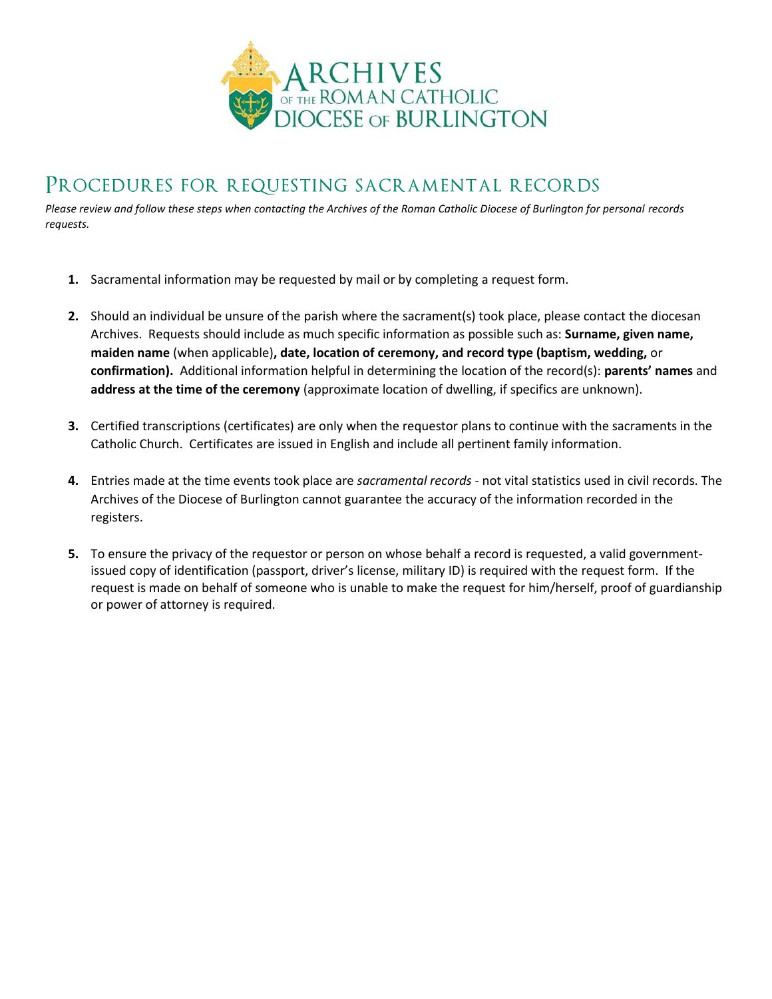

## Procedures for requesting sacramental records

*Please review and follow these steps when contacting the Archives of the Roman Catholic Diocese of Burlington for personal records requests.*

- **1.** Sacramental information may be requested by mail or by completing a request form.
- **2.** Should an individual be unsure of the parish where the sacrament(s) took place, please contact the diocesan Archives. Requests should include as much specific information as possible such as: **Surname, given name, maiden name** (when applicable)**, date, location of ceremony, and record type (baptism, wedding,** or **confirmation).** Additional information helpful in determining the location of the record(s): **parents' names** and **address at the time of the ceremony** (approximate location of dwelling, if specifics are unknown).
- **3.** Certified transcriptions (certificates) are only when the requestor plans to continue with the sacraments in the Catholic Church. Certificates are issued in English and include all pertinent family information.
- **4.** Entries made at the time events took place are *sacramental records* not vital statistics used in civil records. The Archives of the Diocese of Burlington cannot guarantee the accuracy of the information recorded in the registers.
- **5.** To ensure the privacy of the requestor or person on whose behalf a record is requested, a valid governmentissued copy of identification (passport, driver's license, military ID) is required with the request form. If the request is made on behalf of someone who is unable to make the request for him/herself, proof of guardianship or power of attorney is required.